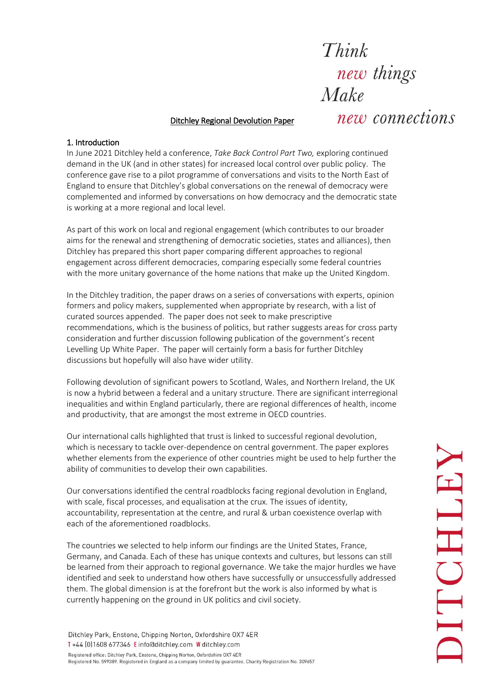Think new things  $Make$ 

## Ditchley Regional Devolution Paper

new connections

## 1. Introduction

In June 2021 Ditchley held a conference, *Take Back Control Part Two,* exploring continued demand in the UK (and in other states) for increased local control over public policy. The conference gave rise to a pilot programme of conversations and visits to the North East of England to ensure that Ditchley's global conversations on the renewal of democracy were complemented and informed by conversations on how democracy and the democratic state is working at a more regional and local level.

As part of this work on local and regional engagement (which contributes to our broader aims for the renewal and strengthening of democratic societies, states and alliances), then Ditchley has prepared this short paper comparing different approaches to regional engagement across different democracies, comparing especially some federal countries with the more unitary governance of the home nations that make up the United Kingdom.

In the Ditchley tradition, the paper draws on a series of conversations with experts, opinion formers and policy makers, supplemented when appropriate by research, with a list of curated sources appended. The paper does not seek to make prescriptive recommendations, which is the business of politics, but rather suggests areas for cross party consideration and further discussion following publication of the government's recent Levelling Up White Paper. The paper will certainly form a basis for further Ditchley discussions but hopefully will also have wider utility.

Following devolution of significant powers to Scotland, Wales, and Northern Ireland, the UK is now a hybrid between a federal and a unitary structure. There are significant interregional inequalities and within England particularly, there are regional differences of health, income and productivity, that are amongst the most extreme in OECD countries.

Our international calls highlighted that trust is linked to successful regional devolution, which is necessary to tackle over-dependence on central government. The paper explores whether elements from the experience of other countries might be used to help further the ability of communities to develop their own capabilities.

Our conversations identified the central roadblocks facing regional devolution in England, with scale, fiscal processes, and equalisation at the crux. The issues of identity, accountability, representation at the centre, and rural & urban coexistence overlap with each of the aforementioned roadblocks.

The countries we selected to help inform our findings are the United States, France, Germany, and Canada. Each of these has unique contexts and cultures, but lessons can still be learned from their approach to regional governance. We take the major hurdles we have identified and seek to understand how others have successfully or unsuccessfully addressed them. The global dimension is at the forefront but the work is also informed by what is currently happening on the ground in UK politics and civil society.

Ditchley Park, Enstone, Chipping Norton, Oxfordshire OX7 4ER T+44 [0] 1608 677346 Einfo@ditchley.com W ditchley.com Registered office: Ditchley Park, Enstone, Chipping Norton, Oxfordshire OX7 4ER Registered No. 599389. Registered in England as a company limited by guarantee. Charity Registration No. 309657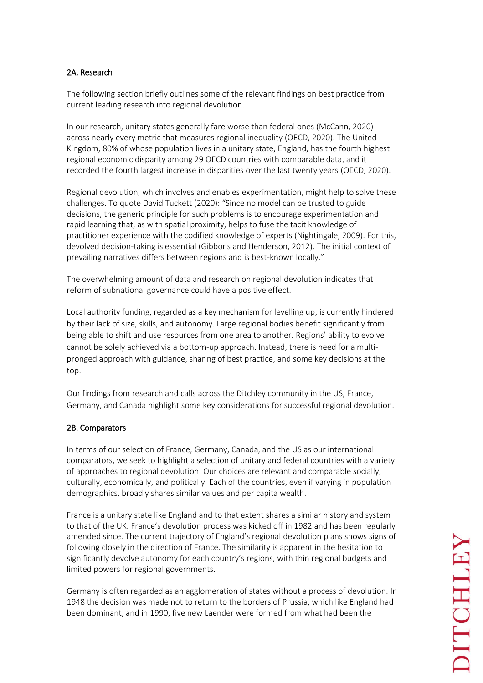# 2A. Research

The following section briefly outlines some of the relevant findings on best practice from current leading research into regional devolution.

In our research, unitary states generally fare worse than federal ones (McCann, 2020) across nearly every metric that measures regional inequality (OECD, 2020). The United Kingdom, 80% of whose population lives in a unitary state, England, has the fourth highest regional economic disparity among 29 OECD countries with comparable data, and it recorded the fourth largest increase in disparities over the last twenty years (OECD, 2020).

Regional devolution, which involves and enables experimentation, might help to solve these challenges. To quote David Tuckett (2020): "Since no model can be trusted to guide decisions, the generic principle for such problems is to encourage experimentation and rapid learning that, as with spatial proximity, helps to fuse the tacit knowledge of practitioner experience with the codified knowledge of experts (Nightingale, 2009). For this, devolved decision-taking is essential (Gibbons and Henderson, 2012). The initial context of prevailing narratives differs between regions and is best-known locally."

The overwhelming amount of data and research on regional devolution indicates that reform of subnational governance could have a positive effect.

Local authority funding, regarded as a key mechanism for levelling up, is currently hindered by their lack of size, skills, and autonomy. Large regional bodies benefit significantly from being able to shift and use resources from one area to another. Regions' ability to evolve cannot be solely achieved via a bottom-up approach. Instead, there is need for a multipronged approach with guidance, sharing of best practice, and some key decisions at the top.

Our findings from research and calls across the Ditchley community in the US, France, Germany, and Canada highlight some key considerations for successful regional devolution.

# 2B. Comparators

In terms of our selection of France, Germany, Canada, and the US as our international comparators, we seek to highlight a selection of unitary and federal countries with a variety of approaches to regional devolution. Our choices are relevant and comparable socially, culturally, economically, and politically. Each of the countries, even if varying in population demographics, broadly shares similar values and per capita wealth.

France is a unitary state like England and to that extent shares a similar history and system to that of the UK. France's devolution process was kicked off in 1982 and has been regularly amended since. The current trajectory of England's regional devolution plans shows signs of following closely in the direction of France. The similarity is apparent in the hesitation to significantly devolve autonomy for each country's regions, with thin regional budgets and limited powers for regional governments.

Germany is often regarded as an agglomeration of states without a process of devolution. In 1948 the decision was made not to return to the borders of Prussia, which like England had been dominant, and in 1990, five new Laender were formed from what had been the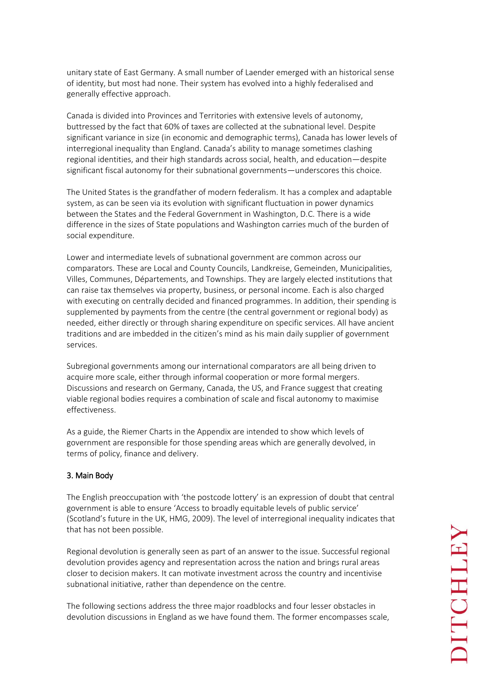unitary state of East Germany. A small number of Laender emerged with an historical sense of identity, but most had none. Their system has evolved into a highly federalised and generally effective approach.

Canada is divided into Provinces and Territories with extensive levels of autonomy, buttressed by the fact that 60% of taxes are collected at the subnational level. Despite significant variance in size (in economic and demographic terms), Canada has lower levels of interregional inequality than England. Canada's ability to manage sometimes clashing regional identities, and their high standards across social, health, and education—despite significant fiscal autonomy for their subnational governments—underscores this choice.

The United States is the grandfather of modern federalism. It has a complex and adaptable system, as can be seen via its evolution with significant fluctuation in power dynamics between the States and the Federal Government in Washington, D.C. There is a wide difference in the sizes of State populations and Washington carries much of the burden of social expenditure.

Lower and intermediate levels of subnational government are common across our comparators. These are Local and County Councils, Landkreise, Gemeinden, Municipalities, Villes, Communes, Départements, and Townships. They are largely elected institutions that can raise tax themselves via property, business, or personal income. Each is also charged with executing on centrally decided and financed programmes. In addition, their spending is supplemented by payments from the centre (the central government or regional body) as needed, either directly or through sharing expenditure on specific services. All have ancient traditions and are imbedded in the citizen's mind as his main daily supplier of government services.

Subregional governments among our international comparators are all being driven to acquire more scale, either through informal cooperation or more formal mergers. Discussions and research on Germany, Canada, the US, and France suggest that creating viable regional bodies requires a combination of scale and fiscal autonomy to maximise effectiveness.

As a guide, the Riemer Charts in the Appendix are intended to show which levels of government are responsible for those spending areas which are generally devolved, in terms of policy, finance and delivery.

# 3. Main Body

The English preoccupation with 'the postcode lottery' is an expression of doubt that central government is able to ensure 'Access to broadly equitable levels of public service' (Scotland's future in the UK, HMG, 2009). The level of interregional inequality indicates that that has not been possible.

Regional devolution is generally seen as part of an answer to the issue. Successful regional devolution provides agency and representation across the nation and brings rural areas closer to decision makers. It can motivate investment across the country and incentivise subnational initiative, rather than dependence on the centre.

The following sections address the three major roadblocks and four lesser obstacles in devolution discussions in England as we have found them. The former encompasses scale,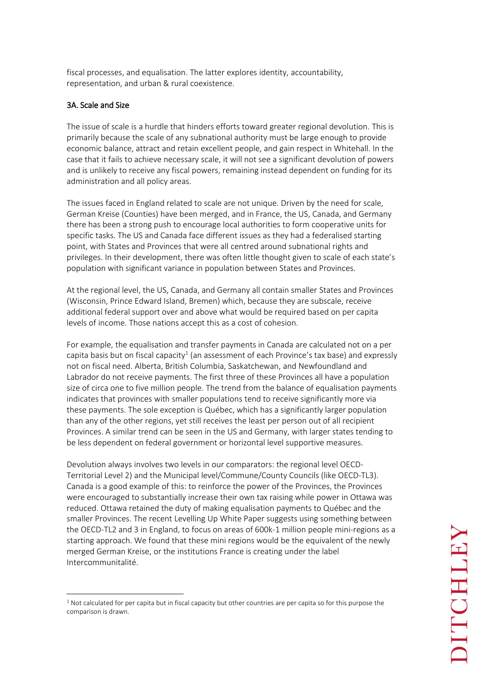fiscal processes, and equalisation. The latter explores identity, accountability, representation, and urban & rural coexistence.

# 3A. Scale and Size

 $\overline{a}$ 

The issue of scale is a hurdle that hinders efforts toward greater regional devolution. This is primarily because the scale of any subnational authority must be large enough to provide economic balance, attract and retain excellent people, and gain respect in Whitehall. In the case that it fails to achieve necessary scale, it will not see a significant devolution of powers and is unlikely to receive any fiscal powers, remaining instead dependent on funding for its administration and all policy areas.

The issues faced in England related to scale are not unique. Driven by the need for scale, German Kreise (Counties) have been merged, and in France, the US, Canada, and Germany there has been a strong push to encourage local authorities to form cooperative units for specific tasks. The US and Canada face different issues as they had a federalised starting point, with States and Provinces that were all centred around subnational rights and privileges. In their development, there was often little thought given to scale of each state's population with significant variance in population between States and Provinces.

At the regional level, the US, Canada, and Germany all contain smaller States and Provinces (Wisconsin, Prince Edward Island, Bremen) which, because they are subscale, receive additional federal support over and above what would be required based on per capita levels of income. Those nations accept this as a cost of cohesion.

For example, the equalisation and transfer payments in Canada are calculated not on a per capita basis but on fiscal capacity $^1$  (an assessment of each Province's tax base) and expressly not on fiscal need. Alberta, British Columbia, Saskatchewan, and Newfoundland and Labrador do not receive payments. The first three of these Provinces all have a population size of circa one to five million people. The trend from the balance of equalisation payments indicates that provinces with smaller populations tend to receive significantly more via these payments. The sole exception is Québec, which has a significantly larger population than any of the other regions, yet still receives the least per person out of all recipient Provinces. A similar trend can be seen in the US and Germany, with larger states tending to be less dependent on federal government or horizontal level supportive measures.

Devolution always involves two levels in our comparators: the regional level OECD-Territorial Level 2) and the Municipal level/Commune/County Councils (like OECD-TL3). Canada is a good example of this: to reinforce the power of the Provinces, the Provinces were encouraged to substantially increase their own tax raising while power in Ottawa was reduced. Ottawa retained the duty of making equalisation payments to Québec and the smaller Provinces. The recent Levelling Up White Paper suggests using something between the OECD-TL2 and 3 in England, to focus on areas of 600k-1 million people mini-regions as a starting approach. We found that these mini regions would be the equivalent of the newly merged German Kreise, or the institutions France is creating under the label Intercommunitalité.

<sup>&</sup>lt;sup>1</sup> Not calculated for per capita but in fiscal capacity but other countries are per capita so for this purpose the comparison is drawn.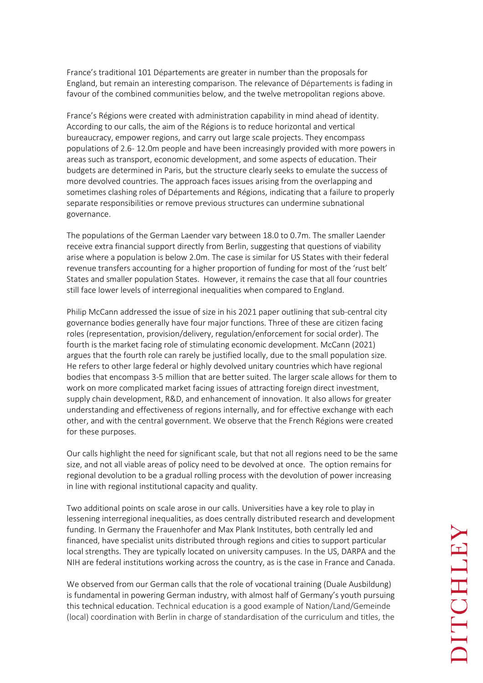France's traditional 101 Départements are greater in number than the proposals for England, but remain an interesting comparison. The relevance of Départements is fading in favour of the combined communities below, and the twelve metropolitan regions above.

France's Régions were created with administration capability in mind ahead of identity. According to our calls, the aim of the Régions is to reduce horizontal and vertical bureaucracy, empower regions, and carry out large scale projects. They encompass populations of 2.6- 12.0m people and have been increasingly provided with more powers in areas such as transport, economic development, and some aspects of education. Their budgets are determined in Paris, but the structure clearly seeks to emulate the success of more devolved countries. The approach faces issues arising from the overlapping and sometimes clashing roles of Départements and Régions, indicating that a failure to properly separate responsibilities or remove previous structures can undermine subnational governance.

The populations of the German Laender vary between 18.0 to 0.7m. The smaller Laender receive extra financial support directly from Berlin, suggesting that questions of viability arise where a population is below 2.0m. The case is similar for US States with their federal revenue transfers accounting for a higher proportion of funding for most of the 'rust belt' States and smaller population States. However, it remains the case that all four countries still face lower levels of interregional inequalities when compared to England.

Philip McCann addressed the issue of size in his 2021 paper outlining that sub-central city governance bodies generally have four major functions. Three of these are citizen facing roles (representation, provision/delivery, regulation/enforcement for social order). The fourth is the market facing role of stimulating economic development. McCann (2021) argues that the fourth role can rarely be justified locally, due to the small population size. He refers to other large federal or highly devolved unitary countries which have regional bodies that encompass 3-5 million that are better suited. The larger scale allows for them to work on more complicated market facing issues of attracting foreign direct investment, supply chain development, R&D, and enhancement of innovation. It also allows for greater understanding and effectiveness of regions internally, and for effective exchange with each other, and with the central government. We observe that the French Régions were created for these purposes.

Our calls highlight the need for significant scale, but that not all regions need to be the same size, and not all viable areas of policy need to be devolved at once. The option remains for regional devolution to be a gradual rolling process with the devolution of power increasing in line with regional institutional capacity and quality.

Two additional points on scale arose in our calls. Universities have a key role to play in lessening interregional inequalities, as does centrally distributed research and development funding. In Germany the Frauenhofer and Max Plank Institutes, both centrally led and financed, have specialist units distributed through regions and cities to support particular local strengths. They are typically located on university campuses. In the US, DARPA and the NIH are federal institutions working across the country, as is the case in France and Canada.

We observed from our German calls that the role of vocational training (Duale Ausbildung) is fundamental in powering German industry, with almost half of Germany's youth pursuing this technical education. Technical education is a good example of Nation/Land/Gemeinde (local) coordination with Berlin in charge of standardisation of the curriculum and titles, the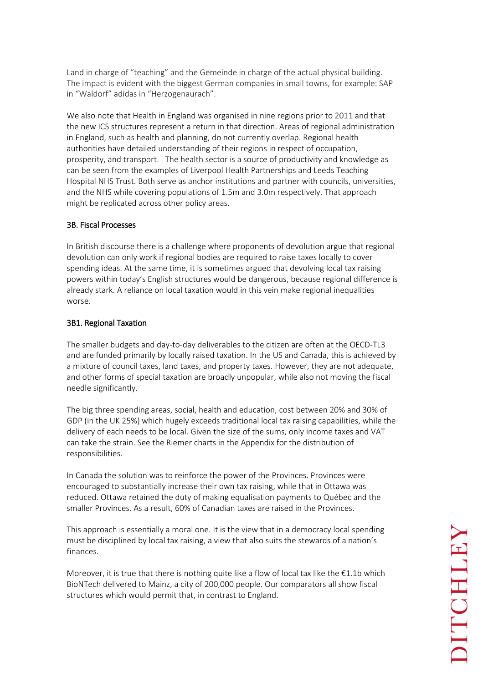Land in charge of "teaching" and the Gemeinde in charge of the actual physical building. The impact is evident with the biggest German companies in small towns, for example: SAP in "Waldorf" adidas in "Herzogenaurach".

We also note that Health in England was organised in nine regions prior to 2011 and that the new ICS structures represent a return in that direction. Areas of regional administration in England, such as health and planning, do not currently overlap. Regional health authorities have detailed understanding of their regions in respect of occupation, prosperity, and transport. The health sector is a source of productivity and knowledge as can be seen from the examples of Liverpool Health Partnerships and Leeds Teaching Hospital NHS Trust. Both serve as anchor institutions and partner with councils, universities, and the NHS while covering populations of 1.5m and 3.0m respectively. That approach might be replicated across other policy areas.

# 3B. Fiscal Processes

In British discourse there is a challenge where proponents of devolution argue that regional devolution can only work if regional bodies are required to raise taxes locally to cover spending ideas. At the same time, it is sometimes argued that devolving local tax raising powers within today's English structures would be dangerous, because regional difference is already stark. A reliance on local taxation would in this vein make regional inequalities worse.

# 3B1. Regional Taxation

The smaller budgets and day-to-day deliverables to the citizen are often at the OECD-TL3 and are funded primarily by locally raised taxation. In the US and Canada, this is achieved by a mixture of council taxes, land taxes, and property taxes. However, they are not adequate, and other forms of special taxation are broadly unpopular, while also not moving the fiscal needle significantly.

The big three spending areas, social, health and education, cost between 20% and 30% of GDP (in the UK 25%) which hugely exceeds traditional local tax raising capabilities, while the delivery of each needs to be local. Given the size of the sums, only income taxes and VAT can take the strain. See the Riemer charts in the Appendix for the distribution of responsibilities.

In Canada the solution was to reinforce the power of the Provinces. Provinces were encouraged to substantially increase their own tax raising, while that in Ottawa was reduced. Ottawa retained the duty of making equalisation payments to Québec and the smaller Provinces. As a result, 60% of Canadian taxes are raised in the Provinces.

This approach is essentially a moral one. It is the view that in a democracy local spending must be disciplined by local tax raising, a view that also suits the stewards of a nation's finances.

Moreover, it is true that there is nothing quite like a flow of local tax like the  $\epsilon$ 1.1b which BioNTech delivered to Mainz, a city of 200,000 people. Our comparators all show fiscal structures which would permit that, in contrast to England.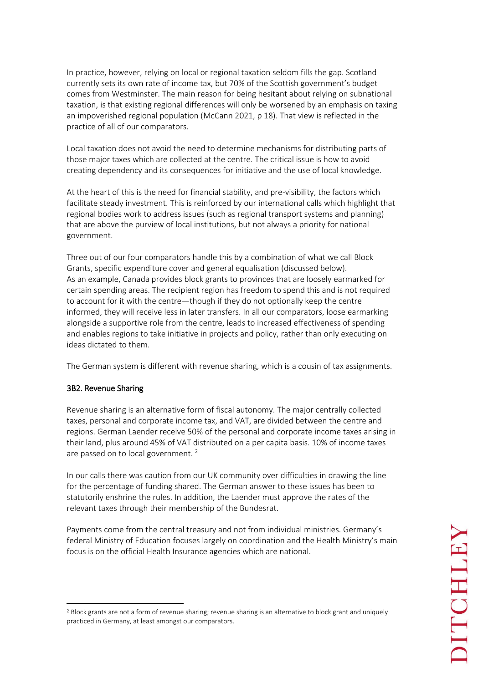In practice, however, relying on local or regional taxation seldom fills the gap. Scotland currently sets its own rate of income tax, but 70% of the Scottish government's budget comes from Westminster. The main reason for being hesitant about relying on subnational taxation, is that existing regional differences will only be worsened by an emphasis on taxing an impoverished regional population (McCann 2021, p 18). That view is reflected in the practice of all of our comparators.

Local taxation does not avoid the need to determine mechanisms for distributing parts of those major taxes which are collected at the centre. The critical issue is how to avoid creating dependency and its consequences for initiative and the use of local knowledge.

At the heart of this is the need for financial stability, and pre-visibility, the factors which facilitate steady investment. This is reinforced by our international calls which highlight that regional bodies work to address issues (such as regional transport systems and planning) that are above the purview of local institutions, but not always a priority for national government.

Three out of our four comparators handle this by a combination of what we call Block Grants, specific expenditure cover and general equalisation (discussed below). As an example, Canada provides block grants to provinces that are loosely earmarked for certain spending areas. The recipient region has freedom to spend this and is not required to account for it with the centre—though if they do not optionally keep the centre informed, they will receive less in later transfers. In all our comparators, loose earmarking alongside a supportive role from the centre, leads to increased effectiveness of spending and enables regions to take initiative in projects and policy, rather than only executing on ideas dictated to them.

The German system is different with revenue sharing, which is a cousin of tax assignments.

# 3B2. Revenue Sharing

 $\overline{a}$ 

Revenue sharing is an alternative form of fiscal autonomy. The major centrally collected taxes, personal and corporate income tax, and VAT, are divided between the centre and regions. German Laender receive 50% of the personal and corporate income taxes arising in their land, plus around 45% of VAT distributed on a per capita basis. 10% of income taxes are passed on to local government.  $2$ 

In our calls there was caution from our UK community over difficulties in drawing the line for the percentage of funding shared. The German answer to these issues has been to statutorily enshrine the rules. In addition, the Laender must approve the rates of the relevant taxes through their membership of the Bundesrat.

Payments come from the central treasury and not from individual ministries. Germany's federal Ministry of Education focuses largely on coordination and the Health Ministry's main focus is on the official Health Insurance agencies which are national.

<sup>&</sup>lt;sup>2</sup> Block grants are not a form of revenue sharing; revenue sharing is an alternative to block grant and uniquely practiced in Germany, at least amongst our comparators.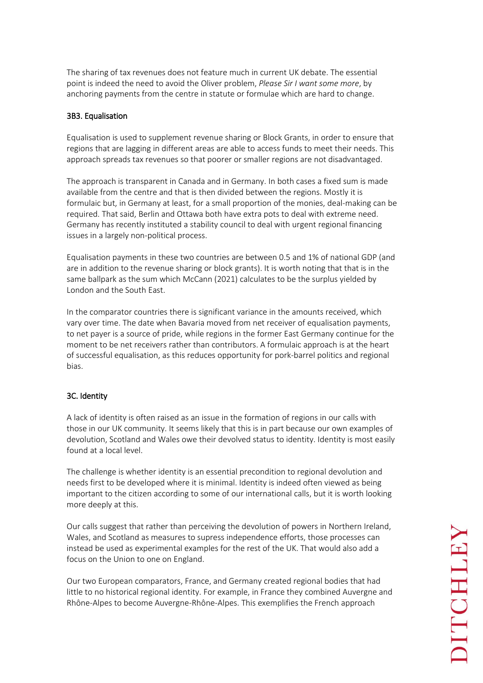The sharing of tax revenues does not feature much in current UK debate. The essential point is indeed the need to avoid the Oliver problem, *Please Sir I want some more*, by anchoring payments from the centre in statute or formulae which are hard to change.

# 3B3. Equalisation

Equalisation is used to supplement revenue sharing or Block Grants, in order to ensure that regions that are lagging in different areas are able to access funds to meet their needs. This approach spreads tax revenues so that poorer or smaller regions are not disadvantaged.

The approach is transparent in Canada and in Germany. In both cases a fixed sum is made available from the centre and that is then divided between the regions. Mostly it is formulaic but, in Germany at least, for a small proportion of the monies, deal-making can be required. That said, Berlin and Ottawa both have extra pots to deal with extreme need. Germany has recently instituted a stability council to deal with urgent regional financing issues in a largely non-political process.

Equalisation payments in these two countries are between 0.5 and 1% of national GDP (and are in addition to the revenue sharing or block grants). It is worth noting that that is in the same ballpark as the sum which McCann (2021) calculates to be the surplus yielded by London and the South East.

In the comparator countries there is significant variance in the amounts received, which vary over time. The date when Bavaria moved from net receiver of equalisation payments, to net payer is a source of pride, while regions in the former East Germany continue for the moment to be net receivers rather than contributors. A formulaic approach is at the heart of successful equalisation, as this reduces opportunity for pork-barrel politics and regional bias.

# 3C. Identity

A lack of identity is often raised as an issue in the formation of regions in our calls with those in our UK community. It seems likely that this is in part because our own examples of devolution, Scotland and Wales owe their devolved status to identity. Identity is most easily found at a local level.

The challenge is whether identity is an essential precondition to regional devolution and needs first to be developed where it is minimal. Identity is indeed often viewed as being important to the citizen according to some of our international calls, but it is worth looking more deeply at this.

Our calls suggest that rather than perceiving the devolution of powers in Northern Ireland, Wales, and Scotland as measures to supress independence efforts, those processes can instead be used as experimental examples for the rest of the UK. That would also add a focus on the Union to one on England.

Our two European comparators, France, and Germany created regional bodies that had little to no historical regional identity. For example, in France they combined Auvergne and Rhône-Alpes to become Auvergne-Rhône-Alpes. This exemplifies the French approach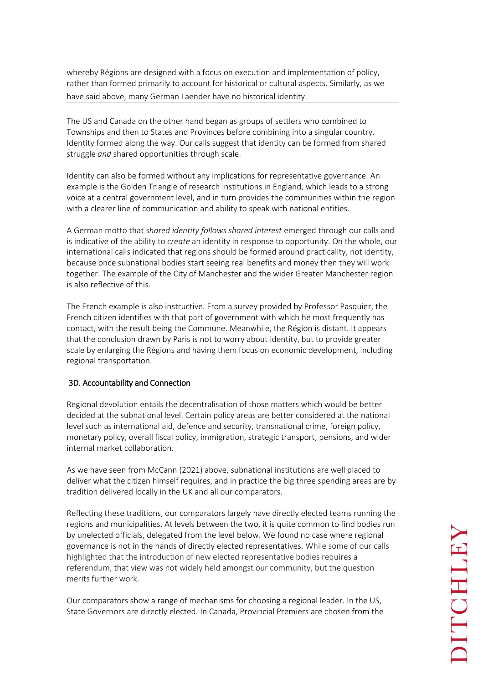whereby Régions are designed with a focus on execution and implementation of policy, rather than formed primarily to account for historical or cultural aspects. Similarly, as we have said above, many German Laender have no historical identity.

The US and Canada on the other hand began as groups of settlers who combined to Townships and then to States and Provinces before combining into a singular country. Identity formed along the way. Our calls suggest that identity can be formed from shared struggle *and* shared opportunities through scale.

Identity can also be formed without any implications for representative governance. An example is the Golden Triangle of research institutions in England, which leads to a strong voice at a central government level, and in turn provides the communities within the region with a clearer line of communication and ability to speak with national entities.

A German motto that *shared identity follows shared interest* emerged through our calls and is indicative of the ability to *create* an identity in response to opportunity. On the whole, our international calls indicated that regions should be formed around practicality, not identity, because once subnational bodies start seeing real benefits and money then they will work together. The example of the City of Manchester and the wider Greater Manchester region is also reflective of this.

The French example is also instructive. From a survey provided by Professor Pasquier, the French citizen identifies with that part of government with which he most frequently has contact, with the result being the Commune. Meanwhile, the Région is distant. It appears that the conclusion drawn by Paris is not to worry about identity, but to provide greater scale by enlarging the Régions and having them focus on economic development, including regional transportation.

# 3D. Accountability and Connection

Regional devolution entails the decentralisation of those matters which would be better decided at the subnational level. Certain policy areas are better considered at the national level such as international aid, defence and security, transnational crime, foreign policy, monetary policy, overall fiscal policy, immigration, strategic transport, pensions, and wider internal market collaboration.

As we have seen from McCann (2021) above, subnational institutions are well placed to deliver what the citizen himself requires, and in practice the big three spending areas are by tradition delivered locally in the UK and all our comparators.

Reflecting these traditions, our comparators largely have directly elected teams running the regions and municipalities. At levels between the two, it is quite common to find bodies run by unelected officials, delegated from the level below. We found no case where regional governance is not in the hands of directly elected representatives. While some of our calls highlighted that the introduction of new elected representative bodies requires a referendum, that view was not widely held amongst our community, but the question merits further work.

Our comparators show a range of mechanisms for choosing a regional leader. In the US, State Governors are directly elected. In Canada, Provincial Premiers are chosen from the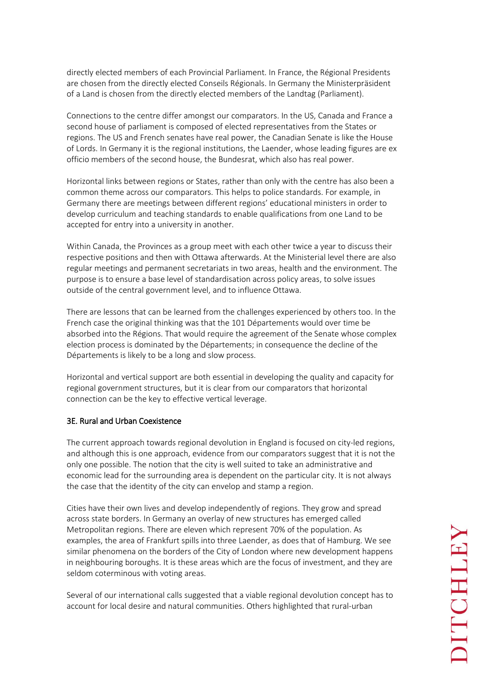directly elected members of each Provincial Parliament. In France, the Régional Presidents are chosen from the directly elected Conseils Régionals. In Germany the Ministerpräsident of a Land is chosen from the directly elected members of the Landtag (Parliament).

Connections to the centre differ amongst our comparators. In the US, Canada and France a second house of parliament is composed of elected representatives from the States or regions. The US and French senates have real power, the Canadian Senate is like the House of Lords. In Germany it is the regional institutions, the Laender, whose leading figures are ex officio members of the second house, the Bundesrat, which also has real power.

Horizontal links between regions or States, rather than only with the centre has also been a common theme across our comparators. This helps to police standards. For example, in Germany there are meetings between different regions' educational ministers in order to develop curriculum and teaching standards to enable qualifications from one Land to be accepted for entry into a university in another.

Within Canada, the Provinces as a group meet with each other twice a year to discuss their respective positions and then with Ottawa afterwards. At the Ministerial level there are also regular meetings and permanent secretariats in two areas, health and the environment. The purpose is to ensure a base level of standardisation across policy areas, to solve issues outside of the central government level, and to influence Ottawa.

There are lessons that can be learned from the challenges experienced by others too. In the French case the original thinking was that the 101 Départements would over time be absorbed into the Régions. That would require the agreement of the Senate whose complex election process is dominated by the Départements; in consequence the decline of the Départements is likely to be a long and slow process.

Horizontal and vertical support are both essential in developing the quality and capacity for regional government structures, but it is clear from our comparators that horizontal connection can be the key to effective vertical leverage.

# 3E. Rural and Urban Coexistence

The current approach towards regional devolution in England is focused on city-led regions, and although this is one approach, evidence from our comparators suggest that it is not the only one possible. The notion that the city is well suited to take an administrative and economic lead for the surrounding area is dependent on the particular city. It is not always the case that the identity of the city can envelop and stamp a region.

Cities have their own lives and develop independently of regions. They grow and spread across state borders. In Germany an overlay of new structures has emerged called Metropolitan regions. There are eleven which represent 70% of the population. As examples, the area of Frankfurt spills into three Laender, as does that of Hamburg. We see similar phenomena on the borders of the City of London where new development happens in neighbouring boroughs. It is these areas which are the focus of investment, and they are seldom coterminous with voting areas.

Several of our international calls suggested that a viable regional devolution concept has to account for local desire and natural communities. Others highlighted that rural-urban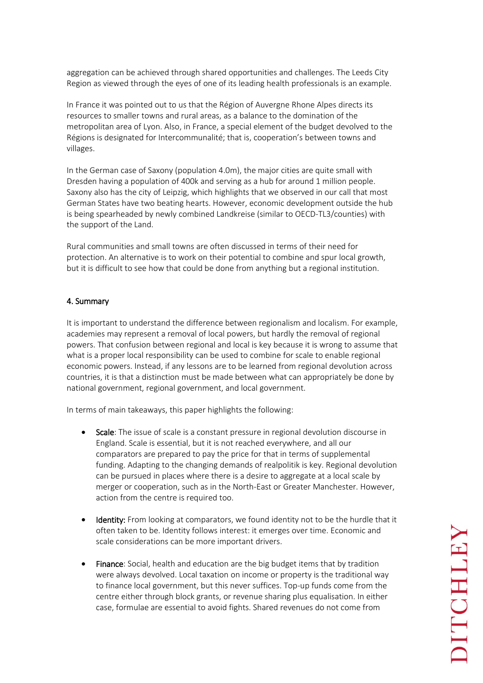aggregation can be achieved through shared opportunities and challenges. The Leeds City Region as viewed through the eyes of one of its leading health professionals is an example.

In France it was pointed out to us that the Région of Auvergne Rhone Alpes directs its resources to smaller towns and rural areas, as a balance to the domination of the metropolitan area of Lyon. Also, in France, a special element of the budget devolved to the Régions is designated for Intercommunalité; that is, cooperation's between towns and villages.

In the German case of Saxony (population 4.0m), the major cities are quite small with Dresden having a population of 400k and serving as a hub for around 1 million people. Saxony also has the city of Leipzig, which highlights that we observed in our call that most German States have two beating hearts. However, economic development outside the hub is being spearheaded by newly combined Landkreise (similar to OECD-TL3/counties) with the support of the Land.

Rural communities and small towns are often discussed in terms of their need for protection. An alternative is to work on their potential to combine and spur local growth, but it is difficult to see how that could be done from anything but a regional institution.

### 4. Summary

It is important to understand the difference between regionalism and localism. For example, academies may represent a removal of local powers, but hardly the removal of regional powers. That confusion between regional and local is key because it is wrong to assume that what is a proper local responsibility can be used to combine for scale to enable regional economic powers. Instead, if any lessons are to be learned from regional devolution across countries, it is that a distinction must be made between what can appropriately be done by national government, regional government, and local government.

In terms of main takeaways, this paper highlights the following:

- Scale: The issue of scale is a constant pressure in regional devolution discourse in England. Scale is essential, but it is not reached everywhere, and all our comparators are prepared to pay the price for that in terms of supplemental funding. Adapting to the changing demands of realpolitik is key. Regional devolution can be pursued in places where there is a desire to aggregate at a local scale by merger or cooperation, such as in the North-East or Greater Manchester. However, action from the centre is required too.
- Identity: From looking at comparators, we found identity not to be the hurdle that it often taken to be. Identity follows interest: it emerges over time. Economic and scale considerations can be more important drivers.
- Finance: Social, health and education are the big budget items that by tradition were always devolved. Local taxation on income or property is the traditional way to finance local government, but this never suffices. Top-up funds come from the centre either through block grants, or revenue sharing plus equalisation. In either case, formulae are essential to avoid fights. Shared revenues do not come from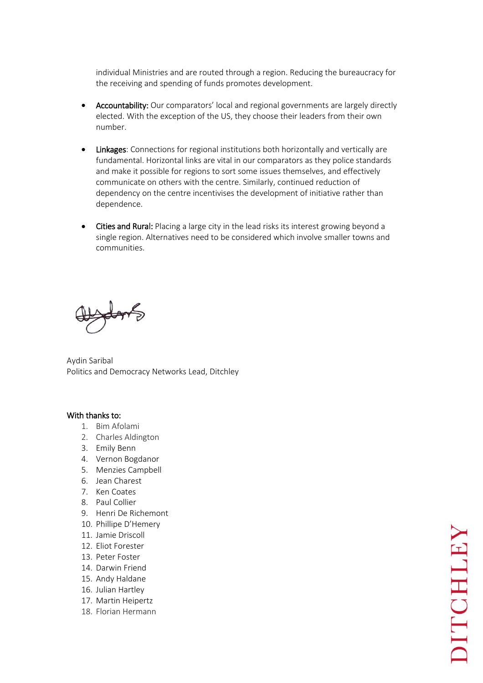individual Ministries and are routed through a region. Reducing the bureaucracy for the receiving and spending of funds promotes development.

- Accountability: Our comparators' local and regional governments are largely directly elected. With the exception of the US, they choose their leaders from their own number.
- Linkages: Connections for regional institutions both horizontally and vertically are fundamental. Horizontal links are vital in our comparators as they police standards and make it possible for regions to sort some issues themselves, and effectively communicate on others with the centre. Similarly, continued reduction of dependency on the centre incentivises the development of initiative rather than dependence.
- Cities and Rural: Placing a large city in the lead risks its interest growing beyond a single region. Alternatives need to be considered which involve smaller towns and communities.

Aydin Saribal Politics and Democracy Networks Lead, Ditchley

### With thanks to:

- 1. Bim Afolami
- 2. Charles Aldington
- 3. Emily Benn
- 4. Vernon Bogdanor
- 5. Menzies Campbell
- 6. Jean Charest
- 7. Ken Coates
- 8. Paul Collier
- 9. Henri De Richemont
- 10. Phillipe D'Hemery
- 11. Jamie Driscoll
- 12. Eliot Forester
- 13. Peter Foster
- 14. Darwin Friend
- 15. Andy Haldane
- 16. Julian Hartley
- 17. Martin Heipertz
- 18. Florian Hermann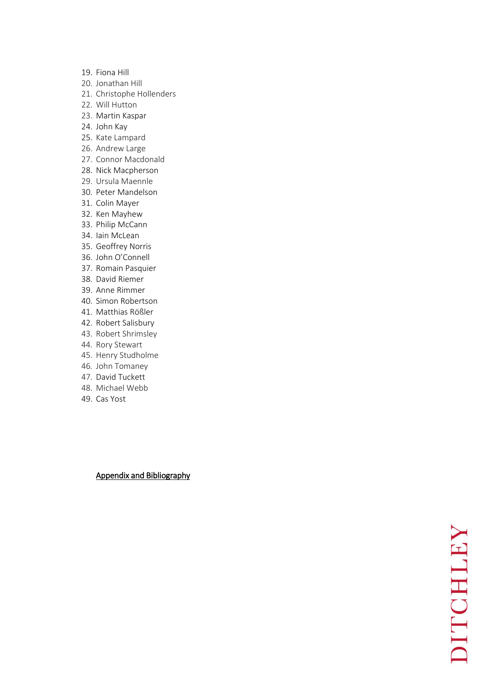- 19. Fiona Hill
- 20. Jonathan Hill
- 21. Christophe Hollenders
- 22. Will Hutton
- 23. Martin Kaspar
- 24. John Kay
- 25. Kate Lampard
- 26. Andrew Large
- 27. Connor Macdonald
- 28. Nick Macpherson
- 29. Ursula Maennle
- 30. Peter Mandelson
- 31. Colin Mayer
- 32. Ken Mayhew
- 33. Philip McCann
- 34. Iain McLean
- 35. Geoffrey Norris
- 36. John O'Connell
- 37. Romain Pasquier
- 38. David Riemer
- 39. Anne Rimmer
- 40. Simon Robertson
- 41. Matthias Rößler
- 42. Robert Salisbury
- 43. Robert Shrimsley
- 44. Rory Stewart
- 45. Henry Studholme
- 46. John Tomaney
- 47. David Tuckett
- 48. Michael Webb
- 49. Cas Yost

Appendix and Bibliography

NATICHT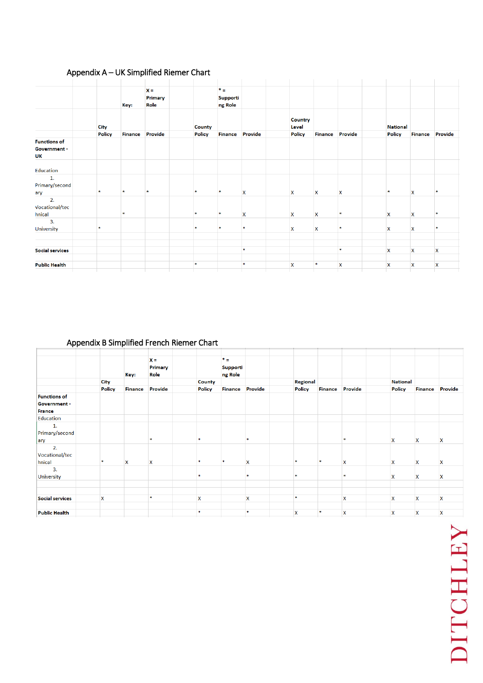# Appendix A – UK Simplified Riemer Chart

|                                           | Key:          |                | $x =$<br><b>Primary</b><br>Role |               | $\ast$ .<br><b>Supporti</b><br>ng Role |                           |                         |                           |                           |                 |                |              |
|-------------------------------------------|---------------|----------------|---------------------------------|---------------|----------------------------------------|---------------------------|-------------------------|---------------------------|---------------------------|-----------------|----------------|--------------|
|                                           | <b>City</b>   |                |                                 | <b>County</b> |                                        |                           | <b>Country</b><br>Level |                           |                           | <b>National</b> |                |              |
|                                           | <b>Policy</b> | <b>Finance</b> | Provide                         | Policy        | <b>Finance</b>                         | Provide                   | Policy                  | <b>Finance</b>            | Provide                   | <b>Policy</b>   | <b>Finance</b> | Provide      |
| <b>Functions of</b><br>Government -<br>UK |               |                |                                 |               |                                        |                           |                         |                           |                           |                 |                |              |
| Education                                 |               |                |                                 |               |                                        |                           |                         |                           |                           |                 |                |              |
| 1.<br>Primary/second<br>ary               | $\mathbf{r}$  | $\mathbf{R}$   | $\mathbf{r}$                    | $\mathbf{x}$  | 車                                      | X                         | x                       | $\mathsf{x}$              | X                         |                 | X              | $\mathbf{z}$ |
| 2.<br>Vocational/tec<br>hnical            |               |                |                                 | 串             | $\mathbf{r}$                           | $\boldsymbol{\mathsf{x}}$ | X                       | $\boldsymbol{\mathsf{x}}$ |                           | X               | X              | 宋            |
| 3.<br>University                          |               |                |                                 | ж             | $\mathbf{r}$                           | $\mathbf{R}$              | X                       | X                         |                           | x               | X              | $\mathbf{R}$ |
|                                           |               |                |                                 |               |                                        |                           |                         |                           |                           |                 |                |              |
| <b>Social services</b>                    |               |                |                                 |               |                                        | $\frac{1}{2}$             |                         |                           | *                         | X               | X              | X            |
| <b>Public Health</b>                      |               |                |                                 | *             |                                        | $\frac{1}{2}$             | X                       | 水                         | $\boldsymbol{\mathsf{x}}$ | X               | X              | X            |

# Appendix B Simplified French Riemer Chart

|                        |               |                           | $X =$          |                           | $*$ =           |              |                 |                |         |                 |                |                           |
|------------------------|---------------|---------------------------|----------------|---------------------------|-----------------|--------------|-----------------|----------------|---------|-----------------|----------------|---------------------------|
|                        |               |                           | <b>Primary</b> |                           | <b>Supporti</b> |              |                 |                |         |                 |                |                           |
|                        |               | Key:                      | Role           |                           | ng Role         |              |                 |                |         |                 |                |                           |
|                        | <b>City</b>   |                           |                | County                    |                 |              | <b>Regional</b> |                |         | <b>National</b> |                |                           |
|                        | <b>Policy</b> | <b>Finance</b>            | Provide        | Policy                    | <b>Finance</b>  | Provide      | Policy          | <b>Finance</b> | Provide | <b>Policy</b>   | <b>Finance</b> | Provide                   |
| <b>Functions of</b>    |               |                           |                |                           |                 |              |                 |                |         |                 |                |                           |
| Government -           |               |                           |                |                           |                 |              |                 |                |         |                 |                |                           |
| <b>France</b>          |               |                           |                |                           |                 |              |                 |                |         |                 |                |                           |
| <b>Education</b>       |               |                           |                |                           |                 |              |                 |                |         |                 |                |                           |
| 1.                     |               |                           |                |                           |                 |              |                 |                |         |                 |                |                           |
| Primary/second         |               |                           |                |                           |                 |              |                 |                |         |                 |                |                           |
| ary                    |               |                           |                |                           |                 | $\mathbf{r}$ |                 |                |         | x               | X              | X                         |
| 2.                     |               |                           |                |                           |                 |              |                 |                |         |                 |                |                           |
| Vocational/tec         |               |                           |                |                           |                 |              |                 |                |         |                 |                |                           |
| hnical                 |               | $\boldsymbol{\mathsf{x}}$ | x              |                           |                 | X            | $\star$         | xk             | X       | x               | x              | X                         |
| 3.                     |               |                           |                |                           |                 |              |                 |                |         |                 |                |                           |
| <b>University</b>      |               |                           |                |                           |                 |              | ×               |                |         | x               | X              | x                         |
|                        |               |                           |                |                           |                 |              |                 |                |         |                 |                |                           |
|                        |               |                           |                |                           |                 |              |                 |                |         |                 |                |                           |
| <b>Social services</b> | $\mathbf x$   |                           | ж              | $\boldsymbol{\mathsf{x}}$ |                 | X            | $\frac{1}{2}$   |                | X       | X               | X              | $\boldsymbol{\mathsf{x}}$ |
|                        |               |                           |                |                           |                 |              |                 |                |         |                 |                |                           |
| <b>Public Health</b>   |               |                           |                | M.                        |                 | $\mathbf{r}$ | X               | $\ast$         | X       | X               | X              | $\boldsymbol{\mathsf{x}}$ |

NHULLEY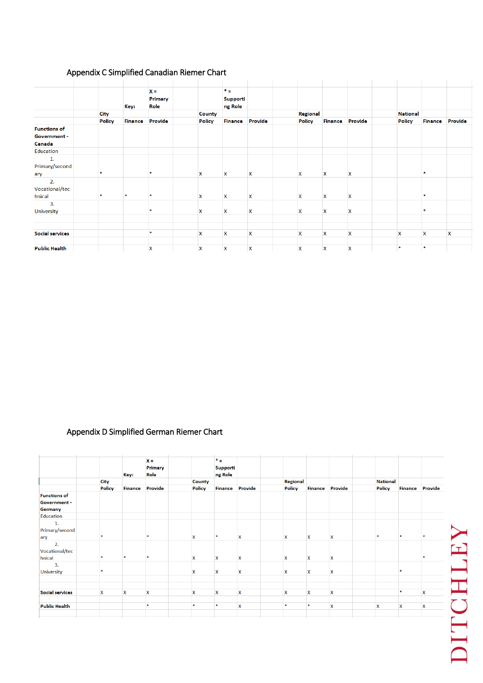# Appendix C Simplified Canadian Riemer Chart

|                        |               |                | $x =$   |                           | $* =$                     |                           |                           |                           |         |                 |               |                |         |
|------------------------|---------------|----------------|---------|---------------------------|---------------------------|---------------------------|---------------------------|---------------------------|---------|-----------------|---------------|----------------|---------|
|                        |               |                | Primary |                           | Supporti                  |                           |                           |                           |         |                 |               |                |         |
|                        |               | Key:           | Role    |                           | ng Role                   |                           |                           |                           |         |                 |               |                |         |
|                        | <b>City</b>   |                |         | <b>County</b>             |                           |                           | Regional                  |                           |         | <b>National</b> |               |                |         |
|                        | <b>Policy</b> | <b>Finance</b> | Provide | <b>Policy</b>             | <b>Finance</b>            | Provide                   | <b>Policy</b>             | <b>Finance</b>            | Provide |                 | <b>Policy</b> | <b>Finance</b> | Provide |
| <b>Functions of</b>    |               |                |         |                           |                           |                           |                           |                           |         |                 |               |                |         |
| Government -           |               |                |         |                           |                           |                           |                           |                           |         |                 |               |                |         |
| Canada                 |               |                |         |                           |                           |                           |                           |                           |         |                 |               |                |         |
| Education              |               |                |         |                           |                           |                           |                           |                           |         |                 |               |                |         |
| 1.                     |               |                |         |                           |                           |                           |                           |                           |         |                 |               |                |         |
| Primary/second         |               |                |         |                           |                           |                           |                           |                           |         |                 |               |                |         |
| ary                    |               |                |         | x                         | X                         | X                         | X                         | X                         | X       |                 |               |                |         |
| 2.                     |               |                |         |                           |                           |                           |                           |                           |         |                 |               |                |         |
| Vocational/tec         |               |                |         |                           |                           |                           |                           |                           |         |                 |               |                |         |
| hnical                 |               | 大              |         | X                         | X                         | $\boldsymbol{\mathsf{x}}$ | $\boldsymbol{\mathsf{x}}$ | $\boldsymbol{\mathsf{x}}$ | x       |                 |               | $\star$        |         |
| 3.                     |               |                |         |                           |                           |                           |                           |                           |         |                 |               |                |         |
| University             |               |                |         | X                         | $\boldsymbol{\mathsf{x}}$ | X                         | $\boldsymbol{\mathsf{x}}$ | X                         | X       |                 |               |                |         |
|                        |               |                |         |                           |                           |                           |                           |                           |         |                 |               |                |         |
|                        |               |                |         |                           |                           |                           |                           |                           |         |                 |               |                |         |
| <b>Social services</b> |               |                | 宋       | X                         | X                         | $\boldsymbol{\mathsf{x}}$ | $\mathsf{x}$              | X                         | X       | X               |               | X              | x       |
|                        |               |                |         |                           |                           |                           |                           |                           |         |                 |               |                |         |
| <b>Public Health</b>   |               |                | X       | $\boldsymbol{\mathsf{x}}$ | X                         | $\boldsymbol{\mathsf{x}}$ | $\boldsymbol{\mathsf{x}}$ | X                         | X       |                 |               |                |         |

# Appendix D Simplified German Riemer Chart

|                        |               | Key:           | $X =$<br>Primary<br>Role |                           | $*_{\pm}$<br>Supporti<br>ng Role |                           |                           |                           |                           |                           |             |                           |
|------------------------|---------------|----------------|--------------------------|---------------------------|----------------------------------|---------------------------|---------------------------|---------------------------|---------------------------|---------------------------|-------------|---------------------------|
|                        | <b>City</b>   |                |                          | <b>County</b>             |                                  |                           | <b>Regional</b>           |                           |                           | <b>National</b>           |             |                           |
|                        | <b>Policy</b> | <b>Finance</b> | Provide                  | Policy                    | <b>Finance Provide</b>           |                           | Policy                    | <b>Finance</b>            | Provide                   | <b>Policy</b>             |             | <b>Finance Provide</b>    |
| <b>Functions of</b>    |               |                |                          |                           |                                  |                           |                           |                           |                           |                           |             |                           |
| Government -           |               |                |                          |                           |                                  |                           |                           |                           |                           |                           |             |                           |
| Germany                |               |                |                          |                           |                                  |                           |                           |                           |                           |                           |             |                           |
| Education              |               |                |                          |                           |                                  |                           |                           |                           |                           |                           |             |                           |
| 1.                     |               |                |                          |                           |                                  |                           |                           |                           |                           |                           |             |                           |
| Primary/second         |               |                |                          |                           |                                  |                           |                           |                           |                           |                           |             |                           |
| ary                    | $\frac{1}{2}$ |                | $\frac{1}{2}$            | X                         | *                                | $\mathbf{x}$              | X                         | $\mathbf x$               | X                         | $\mathbf{R}$              | ×           |                           |
| 2.                     |               |                |                          |                           |                                  |                           |                           |                           |                           |                           |             |                           |
| Vocational/tec         |               |                |                          |                           |                                  |                           |                           |                           |                           |                           |             |                           |
| hnical                 | $\frac{1}{2}$ | ж              | x.                       | X.                        | $\mathbf x$                      | $\mathbf{x}$              | $\boldsymbol{\mathsf{x}}$ | $\boldsymbol{\mathsf{x}}$ | $\mathsf{x}$              |                           |             |                           |
| 3.                     |               |                |                          |                           |                                  |                           |                           |                           |                           |                           |             |                           |
| <b>University</b>      |               |                |                          | $\boldsymbol{\mathsf{x}}$ | $\boldsymbol{\mathsf{x}}$        | X                         | X                         | $\boldsymbol{\mathsf{x}}$ | X                         |                           |             |                           |
|                        |               |                |                          |                           |                                  |                           |                           |                           |                           |                           |             |                           |
|                        |               |                |                          |                           |                                  |                           |                           |                           |                           |                           |             |                           |
| <b>Social services</b> | X             | $\mathsf{x}$   | X                        | X                         | X                                | $\mathsf{x}$              | $\boldsymbol{\mathsf{x}}$ | X                         | X                         |                           | 宋           | $\boldsymbol{\mathsf{x}}$ |
|                        |               |                |                          |                           |                                  |                           |                           |                           |                           |                           |             |                           |
| <b>Public Health</b>   |               |                | $\frac{1}{2}$            | *                         | *                                | $\boldsymbol{\mathsf{x}}$ | $\frac{1}{2}$             | 来                         | $\boldsymbol{\mathsf{x}}$ | $\boldsymbol{\mathsf{x}}$ | $\mathbf x$ | $\boldsymbol{\mathsf{x}}$ |
|                        |               |                |                          |                           |                                  |                           |                           |                           |                           |                           |             |                           |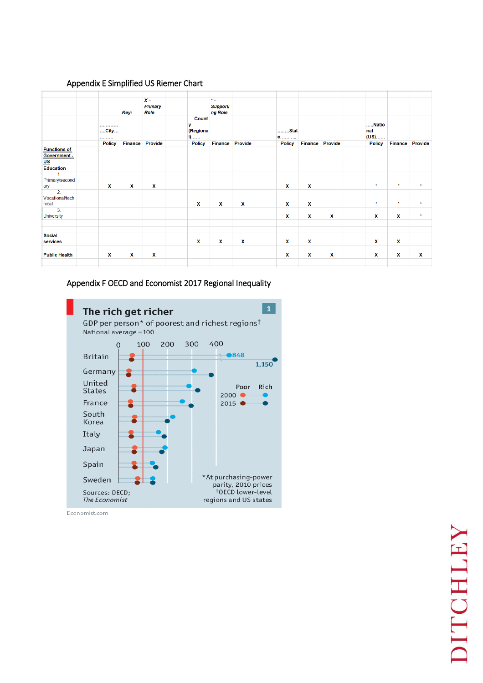# Appendix E Simplified US Riemer Chart

|                                              |                    |                | $X =$                  |                                        | $* =$               |             |               |                |             |                      |                |             |
|----------------------------------------------|--------------------|----------------|------------------------|----------------------------------------|---------------------|-------------|---------------|----------------|-------------|----------------------|----------------|-------------|
|                                              |                    | Key:           | <b>Primary</b><br>Role |                                        | Supporti<br>ng Role |             |               |                |             |                      |                |             |
|                                              | <br>$$ City $$<br> |                |                        | Count<br>v<br>(Regiona<br>$\mathbf{0}$ |                     |             | Stat<br>e     |                |             | Natio<br>nal<br>(US) |                |             |
|                                              | <b>Policy</b>      | <b>Finance</b> | Provide                | <b>Policy</b>                          | <b>Finance</b>      | Provide     | <b>Policy</b> | <b>Finance</b> | Provide     | <b>Policy</b>        | <b>Finance</b> | Provide     |
| <b>Functions of</b><br>Government -<br>$us$  |                    |                |                        |                                        |                     |             |               |                |             |                      |                |             |
| <b>Education</b>                             |                    |                |                        |                                        |                     |             |               |                |             |                      |                |             |
| $\mathbf{1}$<br>Primary/second<br>ary        | $\mathbf{x}$       | $\mathbf{x}$   | $\mathbf{x}$           |                                        |                     |             | $\mathbf{x}$  | x              |             | $\star$              | $\star$        | $\star$     |
| $\overline{2}$ .<br>Vocational/tech<br>nical |                    |                |                        | X                                      | x                   | x           | x             | X              |             | $\star$              | $\star$        | $\star$     |
| 3.<br><b>University</b>                      |                    |                |                        |                                        |                     |             | X             | x              | X           | X                    | x              | $\star$     |
|                                              |                    |                |                        |                                        |                     |             |               |                |             |                      |                |             |
|                                              |                    |                |                        |                                        |                     |             |               |                |             |                      |                |             |
| <b>Social</b><br>services                    |                    |                |                        | x                                      | X                   | $\mathbf x$ | X             | X              |             | x                    | X              |             |
|                                              |                    |                |                        |                                        |                     |             |               |                |             |                      |                |             |
| <b>Public Health</b>                         | x                  | $\mathbf x$    | $\mathbf x$            |                                        |                     |             | x             | X              | $\mathbf x$ | $\mathbf x$          | $\mathbf x$    | $\mathbf x$ |

# Appendix F OECD and Economist 2017 Regional Inequality



Economist.com

l,

# NHULLEY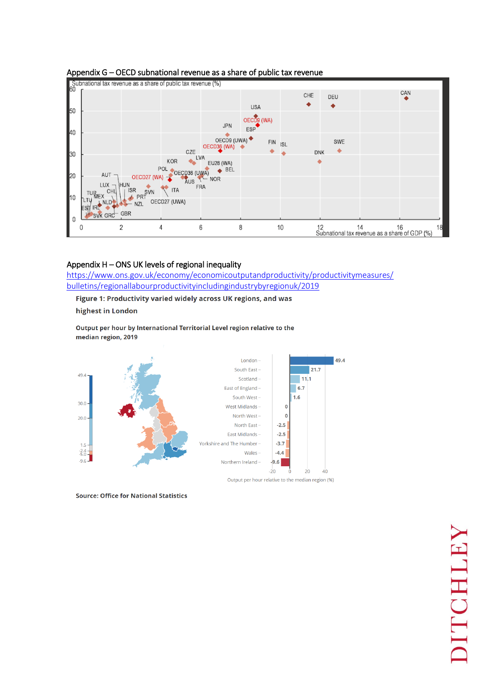

### Appendix G – OECD subnational revenue as a share of public tax revenue

# Appendix H – ONS UK levels of regional inequality

[https://www.ons.gov.uk/economy/economicoutputandproductivity/productivitymeasures/](https://www.ons.gov.uk/economy/economicoutputandproductivity/productivitymeasures/bulletins/regionallabourproductivityincludingindustrybyregionuk/2019) [bulletins/regionallabourproductivityincludingindustrybyregionuk/2019](https://www.ons.gov.uk/economy/economicoutputandproductivity/productivitymeasures/bulletins/regionallabourproductivityincludingindustrybyregionuk/2019) 

Figure 1: Productivity varied widely across UK regions, and was

highest in London

Output per hour by International Territorial Level region relative to the median region, 2019



**Source: Office for National Statistics** 

# MITCHLEY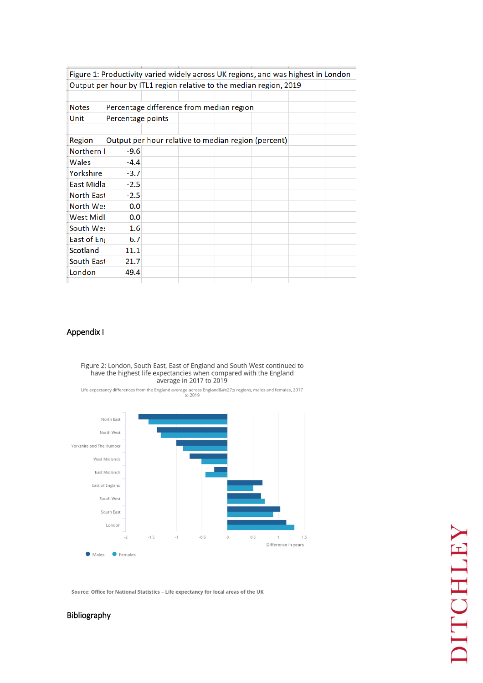|                   |                   |                                          |  | Figure 1: Productivity varied widely across UK regions, and was highest in London |  |
|-------------------|-------------------|------------------------------------------|--|-----------------------------------------------------------------------------------|--|
|                   |                   |                                          |  | Output per hour by ITL1 region relative to the median region, 2019                |  |
|                   |                   |                                          |  |                                                                                   |  |
| <b>Notes</b>      |                   | Percentage difference from median region |  |                                                                                   |  |
| Unit              | Percentage points |                                          |  |                                                                                   |  |
|                   |                   |                                          |  |                                                                                   |  |
| Region            |                   |                                          |  | Output per hour relative to median region (percent)                               |  |
| <b>Northern</b>   | $-9.6$            |                                          |  |                                                                                   |  |
| Wales             | $-4.4$            |                                          |  |                                                                                   |  |
| Yorkshire         | $-3.7$            |                                          |  |                                                                                   |  |
| <b>East Midla</b> | $-2.5$            |                                          |  |                                                                                   |  |
| <b>North East</b> | $-2.5$            |                                          |  |                                                                                   |  |
| North Wes         | 0.0               |                                          |  |                                                                                   |  |
| <b>West Midl</b>  | 0.0               |                                          |  |                                                                                   |  |
| South We:         | 1.6               |                                          |  |                                                                                   |  |
| East of Eng       | 6.7               |                                          |  |                                                                                   |  |
| Scotland          | 11.1              |                                          |  |                                                                                   |  |
| South East        | 21.7              |                                          |  |                                                                                   |  |
| London            | 49.4              |                                          |  |                                                                                   |  |
|                   |                   |                                          |  |                                                                                   |  |

# Appendix I

# Figure 2: London, South East, East of England and South West continued to have the highest life expectancies when compared with the England<br>average in 2017 to 2019

Life expectancy differences from the England average across England's regions, males and females, 2017



Source: Office for National Statistics - Life expectancy for local areas of the UK

# Bibliography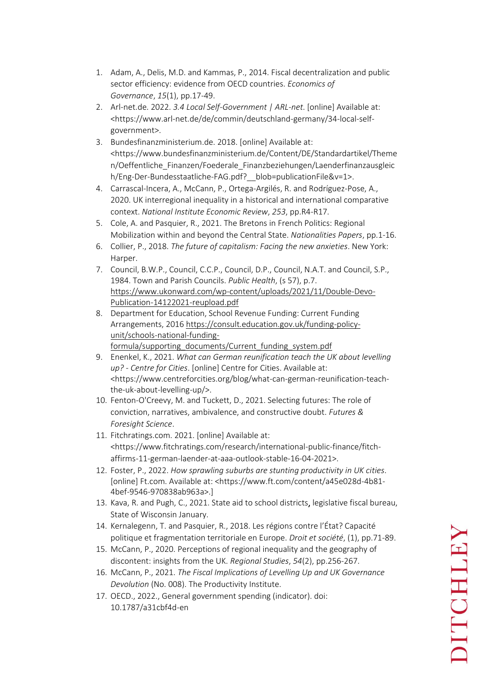- 1. Adam, A., Delis, M.D. and Kammas, P., 2014. Fiscal decentralization and public sector efficiency: evidence from OECD countries. *Economics of Governance*, *15*(1), pp.17-49.
- 2. Arl-net.de. 2022. *3.4 Local Self-Government | ARL-net*. [online] Available at: <https://www.arl-net.de/de/commin/deutschland-germany/34-local-selfgovernment>.
- 3. Bundesfinanzministerium.de. 2018. [online] Available at: <https://www.bundesfinanzministerium.de/Content/DE/Standardartikel/Theme n/Oeffentliche\_Finanzen/Foederale\_Finanzbeziehungen/Laenderfinanzausgleic h/Eng-Der-Bundesstaatliche-FAG.pdf? blob=publicationFile&v=1>.
- 4. Carrascal-Incera, A., McCann, P., Ortega-Argilés, R. and Rodríguez-Pose, A., 2020. UK interregional inequality in a historical and international comparative context. *National Institute Economic Review*, *253*, pp.R4-R17.
- 5. Cole, A. and Pasquier, R., 2021. The Bretons in French Politics: Regional Mobilization within and beyond the Central State. *Nationalities Papers*, pp.1-16.
- 6. Collier, P., 2018. *The future of capitalism: Facing the new anxieties*. New York: Harper.
- 7. Council, B.W.P., Council, C.C.P., Council, D.P., Council, N.A.T. and Council, S.P., 1984. Town and Parish Councils. *Public Health*, (s 57), p.7. [https://www.ukonward.com/wp-content/uploads/2021/11/Double-Devo-](https://www.ukonward.com/wp-content/uploads/2021/11/Double-Devo-Publication-14122021-reupload.pdf)[Publication-14122021-reupload.pdf](https://www.ukonward.com/wp-content/uploads/2021/11/Double-Devo-Publication-14122021-reupload.pdf)
- 8. Department for Education, School Revenue Funding: Current Funding Arrangements, 2016 [https://consult.education.gov.uk/funding-policy](https://consult.education.gov.uk/funding-policy-unit/schools-national-funding-formula/supporting_documents/Current_funding_system.pdf)[unit/schools-national-funding](https://consult.education.gov.uk/funding-policy-unit/schools-national-funding-formula/supporting_documents/Current_funding_system.pdf)[formula/supporting\\_documents/Current\\_funding\\_system.pdf](https://consult.education.gov.uk/funding-policy-unit/schools-national-funding-formula/supporting_documents/Current_funding_system.pdf)
- 9. Enenkel, K., 2021. *What can German reunification teach the UK about levelling up? - Centre for Cities*. [online] Centre for Cities. Available at: <https://www.centreforcities.org/blog/what-can-german-reunification-teachthe-uk-about-levelling-up/>.
- 10. Fenton‐O'Creevy, M. and Tuckett, D., 2021. Selecting futures: The role of conviction, narratives, ambivalence, and constructive doubt. *Futures & Foresight Science*.
- 11. Fitchratings.com. 2021. [online] Available at: <https://www.fitchratings.com/research/international-public-finance/fitchaffirms-11-german-laender-at-aaa-outlook-stable-16-04-2021>.
- 12. Foster, P., 2022. *How sprawling suburbs are stunting productivity in UK cities*. [online] Ft.com. Available at: <https://www.ft.com/content/a45e028d-4b81- 4bef-9546-970838ab963a>.]
- 13. Kava, R. and Pugh, C., 2021. State aid to school districts, legislative fiscal bureau, State of Wisconsin January.
- 14. Kernalegenn, T. and Pasquier, R., 2018. Les régions contre l'État? Capacité politique et fragmentation territoriale en Europe. *Droit et société*, (1), pp.71-89.
- 15. McCann, P., 2020. Perceptions of regional inequality and the geography of discontent: insights from the UK. *Regional Studies*, *54*(2), pp.256-267.
- 16. McCann, P., 2021. *The Fiscal Implications of Levelling Up and UK Governance Devolution* (No. 008). The Productivity Institute.
- 17. OECD., 2022., General government spending (indicator). doi: 10.1787/a31cbf4d-en

# DITCHLEY